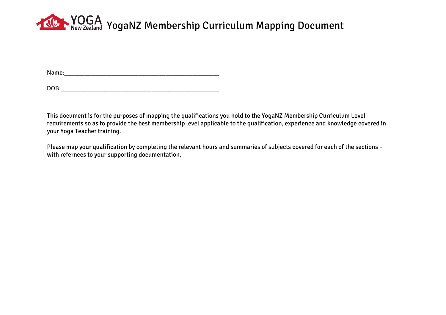## **YOGA** YogaNZ Membership Curriculum Mapping Document

Name:

| DOB: |  |  |  |  |
|------|--|--|--|--|
|      |  |  |  |  |

This document is for the purposes of mapping the qualifications you hold to the YogaNZ Membership Curriculum Level requirements so as to provide the best membership level applicable to the qualification, experience and knowledge covered in your Yoga Teacher training.

Please map your qualification by completing the relevant hours and summaries of subjects covered for each of the sections – with refernces to your supporting documentation.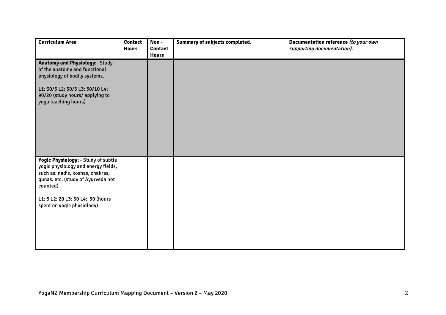| <b>Curriculum Area</b>                                                                                                                                                                                                              | <b>Contact</b><br><b>Hours</b> | Non-<br><b>Contact</b><br><b>Hours</b> | Summary of subjects completed. | Documentation reference (to your own<br>supporting documentation). |
|-------------------------------------------------------------------------------------------------------------------------------------------------------------------------------------------------------------------------------------|--------------------------------|----------------------------------------|--------------------------------|--------------------------------------------------------------------|
| <b>Anatomy and Physiology: - Study</b><br>of the anatomy and functional<br>physiology of bodily systems.<br>L1: 30/5 L2: 30/5 L3: 50/10 L4:<br>90/20 (study hours/applying to<br>yoga teaching hours)                               |                                |                                        |                                |                                                                    |
| Yogic Physiology: - Study of subtle<br>yogic physiology and energy fields,<br>such as: nadis, koshas, chakras,<br>gunas. etc. (study of Ayurveda not<br>counted)<br>L1: 5 L2: 20 L3: 30 L4: 50 (hours<br>spent on yogic physiology) |                                |                                        |                                |                                                                    |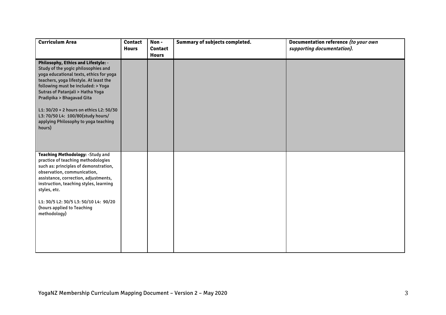| <b>Curriculum Area</b>                                                                                                                                                                                                                                                                                                                                                                                   | <b>Contact</b><br><b>Hours</b> | Non-<br><b>Contact</b><br><b>Hours</b> | Summary of subjects completed. | Documentation reference (to your own<br>supporting documentation). |
|----------------------------------------------------------------------------------------------------------------------------------------------------------------------------------------------------------------------------------------------------------------------------------------------------------------------------------------------------------------------------------------------------------|--------------------------------|----------------------------------------|--------------------------------|--------------------------------------------------------------------|
| Philosophy, Ethics and Lifestyle: -<br>Study of the yogic philosophies and<br>yoga educational texts, ethics for yoga<br>teachers, yoga lifestyle. At least the<br>following must be included: > Yoga<br>Sutras of Patanjali > Hatha Yoga<br>Pradipika > Bhagavad Gita<br>L1: 30/20 + 2 hours on ethics L2: 50/30<br>L3: 70/50 L4: 100/80(study hours/<br>applying Philosophy to yoga teaching<br>hours) |                                |                                        |                                |                                                                    |
| <b>Teaching Methodology: - Study and</b><br>practice of teaching methodologies<br>such as: principles of demonstration,<br>observation, communication,<br>assistance, correction, adjustments,<br>instruction, teaching styles, learning<br>styles, etc.<br>L1: 30/5 L2: 30/5 L3: 50/10 L4: 90/20<br>(hours applied to Teaching<br>methodology)                                                          |                                |                                        |                                |                                                                    |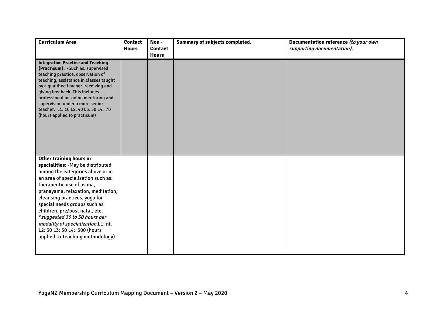| <b>Curriculum Area</b>                                                                                                                                                                                                                                                                                                                                                                                                                                    | <b>Contact</b><br><b>Hours</b> | Non-<br><b>Contact</b><br><b>Hours</b> | Summary of subjects completed. | Documentation reference (to your own<br>supporting documentation). |
|-----------------------------------------------------------------------------------------------------------------------------------------------------------------------------------------------------------------------------------------------------------------------------------------------------------------------------------------------------------------------------------------------------------------------------------------------------------|--------------------------------|----------------------------------------|--------------------------------|--------------------------------------------------------------------|
| <b>Integrative Practice and Teaching</b><br>(Practicum): - Such as: supervised<br>teaching practice, observation of<br>teaching, assistance in classes taught<br>by a qualified teacher, receiving and<br>giving feedback. This includes<br>professional on-going mentoring and<br>supervision under a more senior<br>teacher. L1: 10 L2: 40 L3: 50 L4: 70<br>(hours applied to practicum)                                                                |                                |                                        |                                |                                                                    |
| Other training hours or<br>specialities: - May be distributed<br>among the categories above or in<br>an area of specialisation such as:<br>therapeutic use of asana,<br>pranayama, relaxation, meditation,<br>cleansing practices, yoga for<br>special needs groups such as<br>children, pre/post natal, etc.<br>* suggested 30 to 50 hours per<br>modality of specialization.L1: nil<br>L2: 30 L3: 50 L4: 300 (hours<br>applied to Teaching methodology) |                                |                                        |                                |                                                                    |